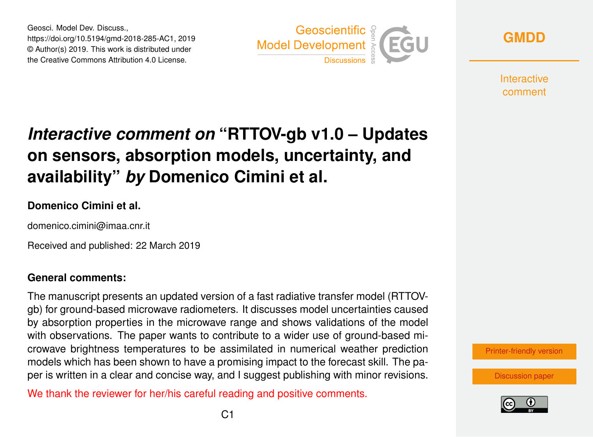Geosci. Model Dev. Discuss., https://doi.org/10.5194/gmd-2018-285-AC1, 2019 © Author(s) 2019. This work is distributed under the Creative Commons Attribution 4.0 License.



**[GMDD](https://www.geosci-model-dev-discuss.net/)**

**Interactive** comment

# *Interactive comment on* **"RTTOV-gb v1.0 – Updates on sensors, absorption models, uncertainty, and availability"** *by* **Domenico Cimini et al.**

## **Domenico Cimini et al.**

domenico.cimini@imaa.cnr.it

Received and published: 22 March 2019

### **General comments:**

The manuscript presents an updated version of a fast radiative transfer model (RTTOVgb) for ground-based microwave radiometers. It discusses model uncertainties caused by absorption properties in the microwave range and shows validations of the model with observations. The paper wants to contribute to a wider use of ground-based microwave brightness temperatures to be assimilated in numerical weather prediction models which has been shown to have a promising impact to the forecast skill. The paper is written in a clear and concise way, and I suggest publishing with minor revisions.

We thank the reviewer for her/his careful reading and positive comments.

[Printer-friendly version](https://www.geosci-model-dev-discuss.net/gmd-2018-285/gmd-2018-285-AC1-print.pdf)

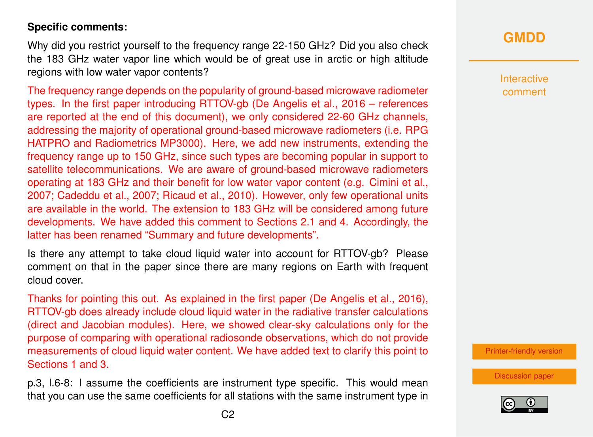## **Specific comments:**

Why did you restrict yourself to the frequency range 22-150 GHz? Did you also check the 183 GHz water vapor line which would be of great use in arctic or high altitude regions with low water vapor contents?

The frequency range depends on the popularity of ground-based microwave radiometer types. In the first paper introducing RTTOV-gb (De Angelis et al., 2016 – references are reported at the end of this document), we only considered 22-60 GHz channels, addressing the majority of operational ground-based microwave radiometers (i.e. RPG HATPRO and Radiometrics MP3000). Here, we add new instruments, extending the frequency range up to 150 GHz, since such types are becoming popular in support to satellite telecommunications. We are aware of ground-based microwave radiometers operating at 183 GHz and their benefit for low water vapor content (e.g. Cimini et al., 2007; Cadeddu et al., 2007; Ricaud et al., 2010). However, only few operational units are available in the world. The extension to 183 GHz will be considered among future developments. We have added this comment to Sections 2.1 and 4. Accordingly, the latter has been renamed "Summary and future developments".

Is there any attempt to take cloud liquid water into account for RTTOV-gb? Please comment on that in the paper since there are many regions on Earth with frequent cloud cover.

Thanks for pointing this out. As explained in the first paper (De Angelis et al., 2016), RTTOV-gb does already include cloud liquid water in the radiative transfer calculations (direct and Jacobian modules). Here, we showed clear-sky calculations only for the purpose of comparing with operational radiosonde observations, which do not provide measurements of cloud liquid water content. We have added text to clarify this point to Sections 1 and 3.

p.3, l.6-8: I assume the coefficients are instrument type specific. This would mean that you can use the same coefficients for all stations with the same instrument type in

# **[GMDD](https://www.geosci-model-dev-discuss.net/)**

**Interactive** comment

[Printer-friendly version](https://www.geosci-model-dev-discuss.net/gmd-2018-285/gmd-2018-285-AC1-print.pdf)

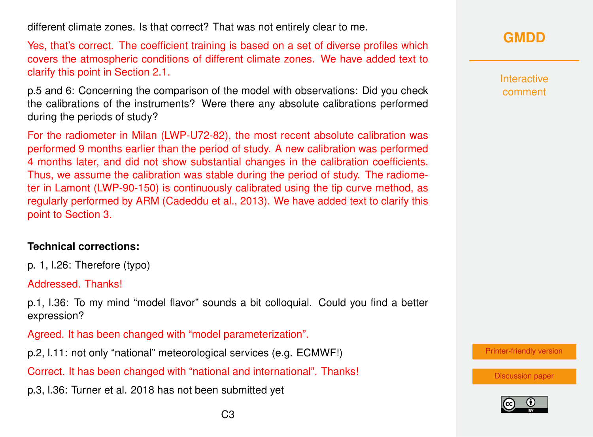different climate zones. Is that correct? That was not entirely clear to me.

Yes, that's correct. The coefficient training is based on a set of diverse profiles which covers the atmospheric conditions of different climate zones. We have added text to clarify this point in Section 2.1.

p.5 and 6: Concerning the comparison of the model with observations: Did you check the calibrations of the instruments? Were there any absolute calibrations performed during the periods of study?

For the radiometer in Milan (LWP-U72-82), the most recent absolute calibration was performed 9 months earlier than the period of study. A new calibration was performed 4 months later, and did not show substantial changes in the calibration coefficients. Thus, we assume the calibration was stable during the period of study. The radiometer in Lamont (LWP-90-150) is continuously calibrated using the tip curve method, as regularly performed by ARM (Cadeddu et al., 2013). We have added text to clarify this point to Section 3.

### **Technical corrections:**

p. 1, l.26: Therefore (typo)

Addressed. Thanks!

p.1, l.36: To my mind "model flavor" sounds a bit colloquial. Could you find a better expression?

Agreed. It has been changed with "model parameterization".

p.2, l.11: not only "national" meteorological services (e.g. ECMWF!)

Correct. It has been changed with "national and international". Thanks!

p.3, l.36: Turner et al. 2018 has not been submitted yet

**[GMDD](https://www.geosci-model-dev-discuss.net/)**

**Interactive** comment

[Printer-friendly version](https://www.geosci-model-dev-discuss.net/gmd-2018-285/gmd-2018-285-AC1-print.pdf)